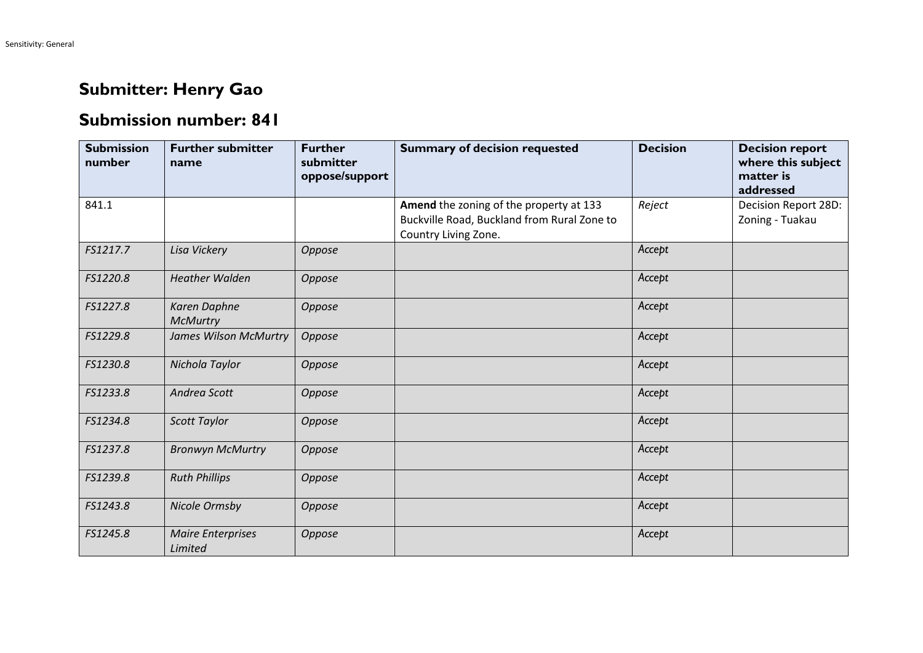## **Submitter: Henry Gao**

## **Submission number: 841**

| <b>Submission</b><br>number | <b>Further submitter</b><br>name    | <b>Further</b><br>submitter<br>oppose/support | <b>Summary of decision requested</b>                                                                           | <b>Decision</b> | <b>Decision report</b><br>where this subject<br>matter is<br>addressed |
|-----------------------------|-------------------------------------|-----------------------------------------------|----------------------------------------------------------------------------------------------------------------|-----------------|------------------------------------------------------------------------|
| 841.1                       |                                     |                                               | Amend the zoning of the property at 133<br>Buckville Road, Buckland from Rural Zone to<br>Country Living Zone. | Reject          | Decision Report 28D:<br>Zoning - Tuakau                                |
| FS1217.7                    | Lisa Vickery                        | Oppose                                        |                                                                                                                | Accept          |                                                                        |
| FS1220.8                    | <b>Heather Walden</b>               | Oppose                                        |                                                                                                                | Accept          |                                                                        |
| FS1227.8                    | Karen Daphne<br><b>McMurtry</b>     | Oppose                                        |                                                                                                                | Accept          |                                                                        |
| FS1229.8                    | <b>James Wilson McMurtry</b>        | Oppose                                        |                                                                                                                | Accept          |                                                                        |
| FS1230.8                    | Nichola Taylor                      | Oppose                                        |                                                                                                                | Accept          |                                                                        |
| FS1233.8                    | Andrea Scott                        | Oppose                                        |                                                                                                                | Accept          |                                                                        |
| FS1234.8                    | <b>Scott Taylor</b>                 | Oppose                                        |                                                                                                                | Accept          |                                                                        |
| FS1237.8                    | <b>Bronwyn McMurtry</b>             | Oppose                                        |                                                                                                                | Accept          |                                                                        |
| FS1239.8                    | <b>Ruth Phillips</b>                | Oppose                                        |                                                                                                                | Accept          |                                                                        |
| FS1243.8                    | Nicole Ormsby                       | Oppose                                        |                                                                                                                | Accept          |                                                                        |
| FS1245.8                    | <b>Maire Enterprises</b><br>Limited | Oppose                                        |                                                                                                                | Accept          |                                                                        |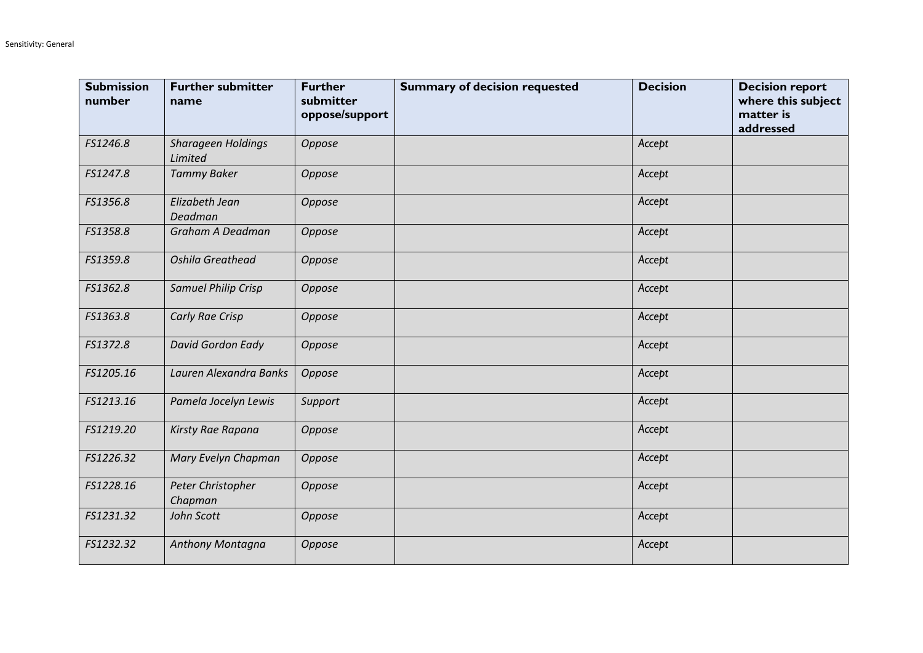| <b>Submission</b><br>number | <b>Further submitter</b><br>name     | <b>Further</b><br>submitter<br>oppose/support | <b>Summary of decision requested</b> | <b>Decision</b> | <b>Decision report</b><br>where this subject<br>matter is<br>addressed |
|-----------------------------|--------------------------------------|-----------------------------------------------|--------------------------------------|-----------------|------------------------------------------------------------------------|
| FS1246.8                    | <b>Sharageen Holdings</b><br>Limited | Oppose                                        |                                      | Accept          |                                                                        |
| FS1247.8                    | <b>Tammy Baker</b>                   | Oppose                                        |                                      | Accept          |                                                                        |
| FS1356.8                    | Elizabeth Jean<br>Deadman            | Oppose                                        |                                      | Accept          |                                                                        |
| FS1358.8                    | Graham A Deadman                     | Oppose                                        |                                      | Accept          |                                                                        |
| FS1359.8                    | Oshila Greathead                     | Oppose                                        |                                      | Accept          |                                                                        |
| FS1362.8                    | <b>Samuel Philip Crisp</b>           | Oppose                                        |                                      | Accept          |                                                                        |
| FS1363.8                    | Carly Rae Crisp                      | Oppose                                        |                                      | Accept          |                                                                        |
| FS1372.8                    | David Gordon Eady                    | Oppose                                        |                                      | Accept          |                                                                        |
| FS1205.16                   | Lauren Alexandra Banks               | Oppose                                        |                                      | Accept          |                                                                        |
| FS1213.16                   | Pamela Jocelyn Lewis                 | Support                                       |                                      | Accept          |                                                                        |
| FS1219.20                   | Kirsty Rae Rapana                    | Oppose                                        |                                      | Accept          |                                                                        |
| FS1226.32                   | Mary Evelyn Chapman                  | Oppose                                        |                                      | Accept          |                                                                        |
| FS1228.16                   | Peter Christopher<br>Chapman         | Oppose                                        |                                      | Accept          |                                                                        |
| FS1231.32                   | John Scott                           | Oppose                                        |                                      | Accept          |                                                                        |
| FS1232.32                   | Anthony Montagna                     | Oppose                                        |                                      | Accept          |                                                                        |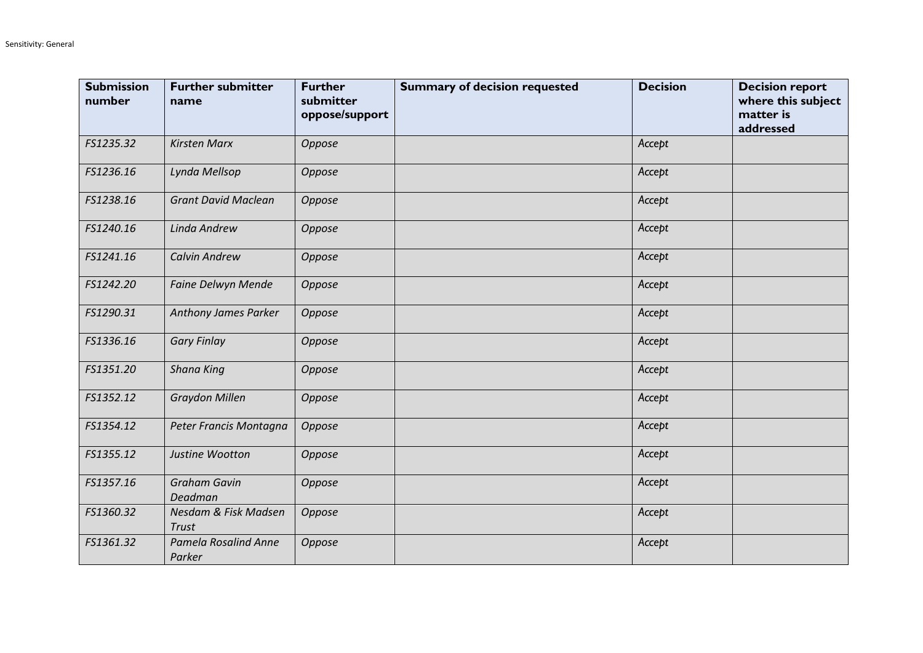| <b>Submission</b><br>number | <b>Further submitter</b><br>name     | <b>Further</b><br>submitter<br>oppose/support | <b>Summary of decision requested</b> | <b>Decision</b> | <b>Decision report</b><br>where this subject<br>matter is<br>addressed |
|-----------------------------|--------------------------------------|-----------------------------------------------|--------------------------------------|-----------------|------------------------------------------------------------------------|
| FS1235.32                   | <b>Kirsten Marx</b>                  | Oppose                                        |                                      | Accept          |                                                                        |
| FS1236.16                   | Lynda Mellsop                        | Oppose                                        |                                      | Accept          |                                                                        |
| FS1238.16                   | <b>Grant David Maclean</b>           | Oppose                                        |                                      | Accept          |                                                                        |
| FS1240.16                   | Linda Andrew                         | Oppose                                        |                                      | Accept          |                                                                        |
| FS1241.16                   | <b>Calvin Andrew</b>                 | Oppose                                        |                                      | Accept          |                                                                        |
| FS1242.20                   | Faine Delwyn Mende                   | Oppose                                        |                                      | Accept          |                                                                        |
| FS1290.31                   | Anthony James Parker                 | Oppose                                        |                                      | Accept          |                                                                        |
| FS1336.16                   | <b>Gary Finlay</b>                   | Oppose                                        |                                      | Accept          |                                                                        |
| FS1351.20                   | <b>Shana King</b>                    | Oppose                                        |                                      | Accept          |                                                                        |
| FS1352.12                   | <b>Graydon Millen</b>                | Oppose                                        |                                      | Accept          |                                                                        |
| FS1354.12                   | Peter Francis Montagna               | Oppose                                        |                                      | Accept          |                                                                        |
| FS1355.12                   | Justine Wootton                      | Oppose                                        |                                      | Accept          |                                                                        |
| FS1357.16                   | <b>Graham Gavin</b><br>Deadman       | Oppose                                        |                                      | Accept          |                                                                        |
| FS1360.32                   | Nesdam & Fisk Madsen<br><b>Trust</b> | Oppose                                        |                                      | Accept          |                                                                        |
| FS1361.32                   | Pamela Rosalind Anne<br>Parker       | Oppose                                        |                                      | Accept          |                                                                        |